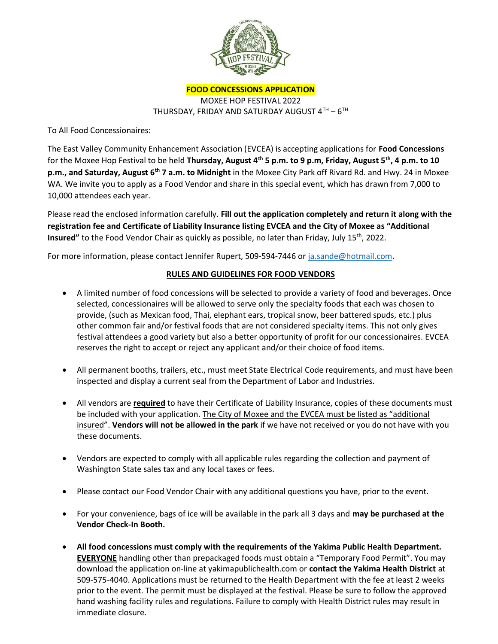

FOOD CONCESSIONS APPLICATION

MOXEE HOP FESTIVAL 2022 THURSDAY, FRIDAY AND SATURDAY AUGUST  $4^{\text{TH}}$  –  $6^{\text{TH}}$ 

To All Food Concessionaires:

The East Valley Community Enhancement Association (EVCEA) is accepting applications for Food Concessions for the Moxee Hop Festival to be held Thursday, August  $4<sup>th</sup>$  5 p.m. to 9 p.m, Friday, August 5<sup>th</sup>, 4 p.m. to 10 p.m., and Saturday, August 6<sup>th</sup> 7 a.m. to Midnight in the Moxee City Park off Rivard Rd. and Hwy. 24 in Moxee WA. We invite you to apply as a Food Vendor and share in this special event, which has drawn from 7,000 to 10,000 attendees each year.

Please read the enclosed information carefully. Fill out the application completely and return it along with the registration fee and Certificate of Liability Insurance listing EVCEA and the City of Moxee as "Additional Insured" to the Food Vendor Chair as quickly as possible, no later than Friday, July 15<sup>th</sup>, 2022.

For more information, please contact Jennifer Rupert, 509-594-7446 or ja.sande@hotmail.com.

## RULES AND GUIDELINES FOR FOOD VENDORS

- A limited number of food concessions will be selected to provide a variety of food and beverages. Once selected, concessionaires will be allowed to serve only the specialty foods that each was chosen to provide, (such as Mexican food, Thai, elephant ears, tropical snow, beer battered spuds, etc.) plus other common fair and/or festival foods that are not considered specialty items. This not only gives festival attendees a good variety but also a better opportunity of profit for our concessionaires. EVCEA reserves the right to accept or reject any applicant and/or their choice of food items.
- All permanent booths, trailers, etc., must meet State Electrical Code requirements, and must have been inspected and display a current seal from the Department of Labor and Industries.
- All vendors are required to have their Certificate of Liability Insurance, copies of these documents must be included with your application. The City of Moxee and the EVCEA must be listed as "additional insured". Vendors will not be allowed in the park if we have not received or you do not have with you these documents.
- Vendors are expected to comply with all applicable rules regarding the collection and payment of Washington State sales tax and any local taxes or fees.
- Please contact our Food Vendor Chair with any additional questions you have, prior to the event.
- For your convenience, bags of ice will be available in the park all 3 days and may be purchased at the Vendor Check-In Booth.
- All food concessions must comply with the requirements of the Yakima Public Health Department. EVERYONE handling other than prepackaged foods must obtain a "Temporary Food Permit". You may download the application on-line at yakimapublichealth.com or contact the Yakima Health District at 509-575-4040. Applications must be returned to the Health Department with the fee at least 2 weeks prior to the event. The permit must be displayed at the festival. Please be sure to follow the approved hand washing facility rules and regulations. Failure to comply with Health District rules may result in immediate closure.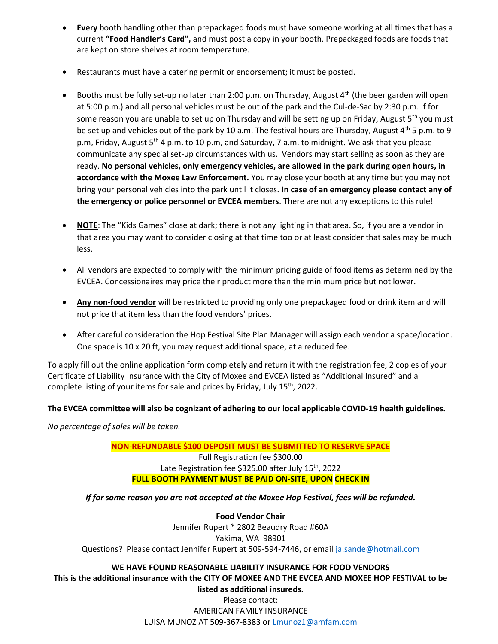- **Every** booth handling other than prepackaged foods must have someone working at all times that has a current "Food Handler's Card", and must post a copy in your booth. Prepackaged foods are foods that are kept on store shelves at room temperature.
- Restaurants must have a catering permit or endorsement; it must be posted.
- **•** Booths must be fully set-up no later than 2:00 p.m. on Thursday, August  $4^{th}$  (the beer garden will open at 5:00 p.m.) and all personal vehicles must be out of the park and the Cul-de-Sac by 2:30 p.m. If for some reason you are unable to set up on Thursday and will be setting up on Friday, August 5<sup>th</sup> you must be set up and vehicles out of the park by 10 a.m. The festival hours are Thursday, August 4<sup>th</sup> 5 p.m. to 9 p.m, Friday, August 5<sup>th</sup> 4 p.m. to 10 p.m, and Saturday, 7 a.m. to midnight. We ask that you please communicate any special set-up circumstances with us. Vendors may start selling as soon as they are ready. No personal vehicles, only emergency vehicles, are allowed in the park during open hours, in accordance with the Moxee Law Enforcement. You may close your booth at any time but you may not bring your personal vehicles into the park until it closes. In case of an emergency please contact any of the emergency or police personnel or EVCEA members. There are not any exceptions to this rule!
- NOTE: The "Kids Games" close at dark; there is not any lighting in that area. So, if you are a vendor in that area you may want to consider closing at that time too or at least consider that sales may be much less.
- All vendors are expected to comply with the minimum pricing guide of food items as determined by the EVCEA. Concessionaires may price their product more than the minimum price but not lower.
- Any non-food vendor will be restricted to providing only one prepackaged food or drink item and will not price that item less than the food vendors' prices.
- After careful consideration the Hop Festival Site Plan Manager will assign each vendor a space/location. One space is 10 x 20 ft, you may request additional space, at a reduced fee.

To apply fill out the online application form completely and return it with the registration fee, 2 copies of your Certificate of Liability Insurance with the City of Moxee and EVCEA listed as "Additional Insured" and a complete listing of your items for sale and prices by Friday, July 15<sup>th</sup>, 2022.

## The EVCEA committee will also be cognizant of adhering to our local applicable COVID-19 health guidelines.

No percentage of sales will be taken.

NON-REFUNDABLE \$100 DEPOSIT MUST BE SUBMITTED TO RESERVE SPACE Full Registration fee \$300.00 Late Registration fee \$325.00 after July  $15<sup>th</sup>$ , 2022 FULL BOOTH PAYMENT MUST BE PAID ON-SITE, UPON CHECK IN

If for some reason you are not accepted at the Moxee Hop Festival, fees will be refunded.

Food Vendor Chair Jennifer Rupert \* 2802 Beaudry Road #60A Yakima, WA 98901 Questions? Please contact Jennifer Rupert at 509-594-7446, or email ja.sande@hotmail.com

## WE HAVE FOUND REASONABLE LIABILITY INSURANCE FOR FOOD VENDORS This is the additional insurance with the CITY OF MOXEE AND THE EVCEA AND MOXEE HOP FESTIVAL to be

listed as additional insureds. Please contact: AMERICAN FAMILY INSURANCE LUISA MUNOZ AT 509-367-8383 or Lmunoz1@amfam.com